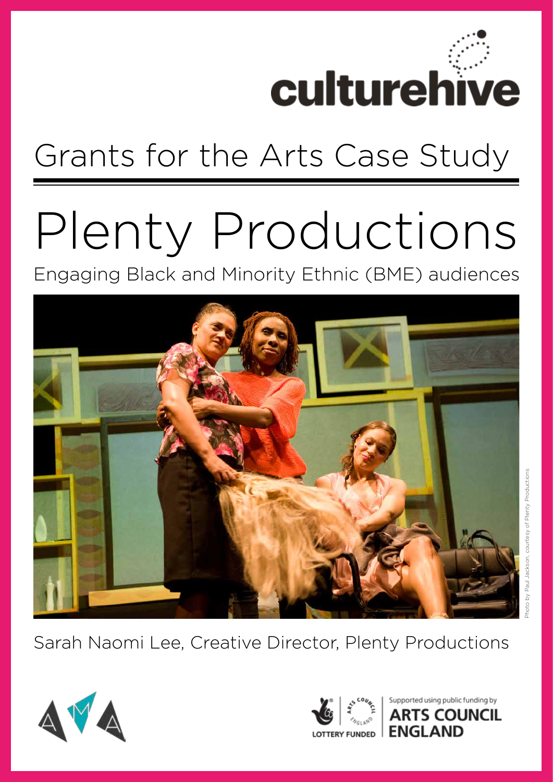

## Grants for the Arts Case Study

# Plenty Productions

Engaging Black and Minority Ethnic (BME) audiences



Sarah Naomi Lee, Creative Director, Plenty Productions





upported using public funding by 's Council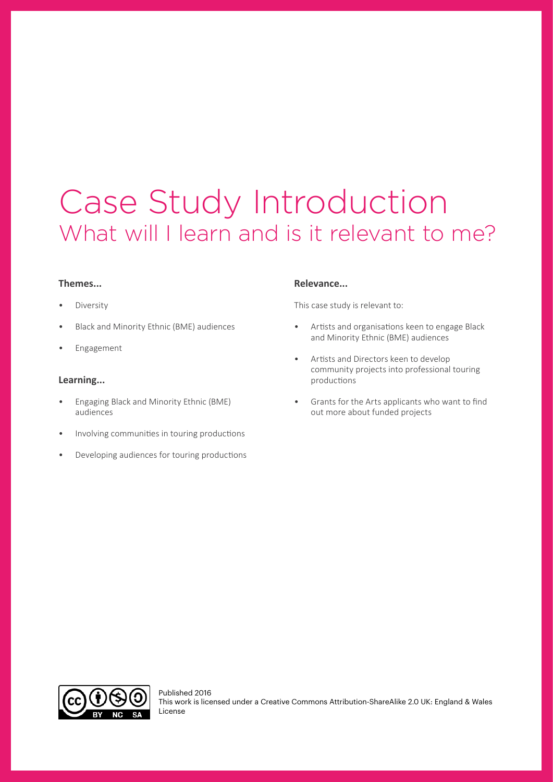### Case Study Introduction What will I learn and is it relevant to me?

#### **Themes...**

- **Diversity**
- Black and Minority Ethnic (BME) audiences
- **Engagement**

#### **Learning...**

- Engaging Black and Minority Ethnic (BME) audiences
- Involving communities in touring productions
- Developing audiences for touring productions

#### **Relevance...**

This case study is relevant to:

- Artists and organisations keen to engage Black and Minority Ethnic (BME) audiences
- Artists and Directors keen to develop community projects into professional touring productions
- Grants for the Arts applicants who want to find out more about funded projects

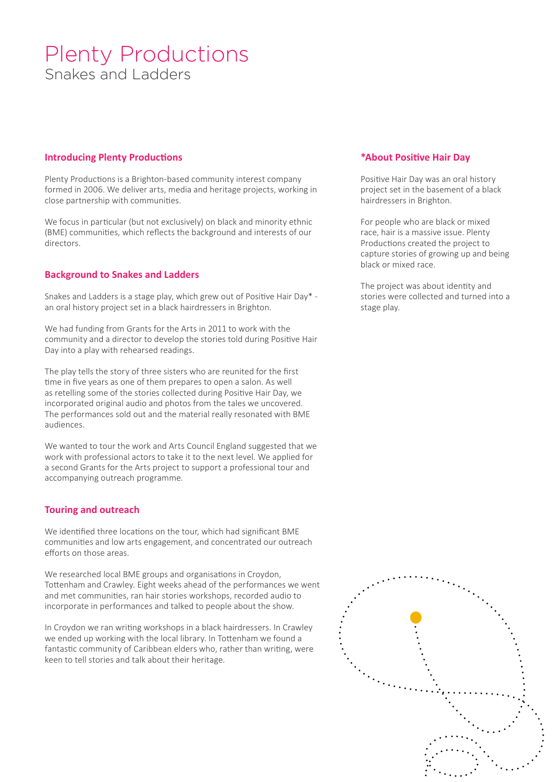#### Plenty Productions Snakes and Ladders

#### **Introducing Plenty Productions**

Plenty Productions is a Brighton-based community interest company formed in 2006. We deliver arts, media and heritage projects, working in close partnership with communities.

We focus in particular (but not exclusively) on black and minority ethnic (BME) communities, which reflects the background and interests of our directors.

#### **Background to Snakes and Ladders**

Snakes and Ladders is a stage play, which grew out of Positive Hair Day\* an oral history project set in a black hairdressers in Brighton.

We had funding from Grants for the Arts in 2011 to work with the community and a director to develop the stories told during Positive Hair Day into a play with rehearsed readings.

The play tells the story of three sisters who are reunited for the first time in five years as one of them prepares to open a salon. As well as retelling some of the stories collected during Positive Hair Day, we incorporated original audio and photos from the tales we uncovered. The performances sold out and the material really resonated with BME audiences.

We wanted to tour the work and Arts Council England suggested that we work with professional actors to take it to the next level. We applied for a second Grants for the Arts project to support a professional tour and accompanying outreach programme.

#### **Touring and outreach**

We identified three locations on the tour, which had significant BME communities and low arts engagement, and concentrated our outreach efforts on those areas.

We researched local BME groups and organisations in Croydon, Tottenham and Crawley. Eight weeks ahead of the performances we went and met communities, ran hair stories workshops, recorded audio to incorporate in performances and talked to people about the show.

In Croydon we ran writing workshops in a black hairdressers. In Crawley we ended up working with the local library. In Tottenham we found a fantastic community of Caribbean elders who, rather than writing, were keen to tell stories and talk about their heritage.

#### **\*About Positive Hair Day**

Positive Hair Day was an oral history project set in the basement of a black hairdressers in Brighton.

For people who are black or mixed race, hair is a massive issue. Plenty Productions created the project to capture stories of growing up and being black or mixed race.

The project was about identity and stories were collected and turned into a stage play.